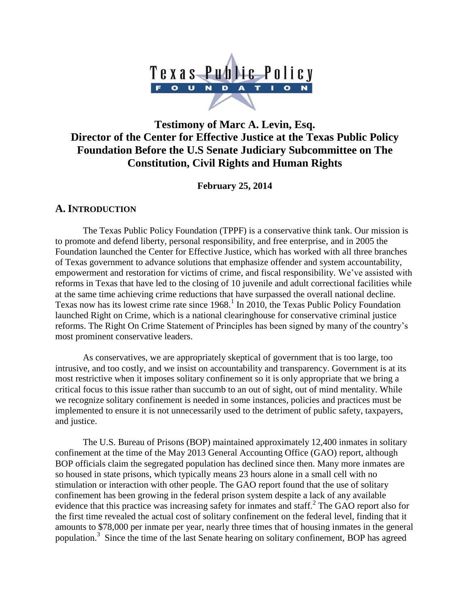

# **Testimony of Marc A. Levin, Esq. Director of the Center for Effective Justice at the Texas Public Policy Foundation Before the U.S Senate Judiciary Subcommittee on The Constitution, Civil Rights and Human Rights**

**February 25, 2014**

### **A.INTRODUCTION**

The Texas Public Policy Foundation (TPPF) is a conservative think tank. Our mission is to promote and defend liberty, personal responsibility, and free enterprise, and in 2005 the Foundation launched the Center for Effective Justice, which has worked with all three branches of Texas government to advance solutions that emphasize offender and system accountability, empowerment and restoration for victims of crime, and fiscal responsibility. We've assisted with reforms in Texas that have led to the closing of 10 juvenile and adult correctional facilities while at the same time achieving crime reductions that have surpassed the overall national decline. Texas now has its lowest crime rate since  $1968$ .<sup>1</sup> In 2010, the Texas Public Policy Foundation launched Right on Crime, which is a national clearinghouse for conservative criminal justice reforms. The Right On Crime Statement of Principles has been signed by many of the country's most prominent conservative leaders.

As conservatives, we are appropriately skeptical of government that is too large, too intrusive, and too costly, and we insist on accountability and transparency. Government is at its most restrictive when it imposes solitary confinement so it is only appropriate that we bring a critical focus to this issue rather than succumb to an out of sight, out of mind mentality. While we recognize solitary confinement is needed in some instances, policies and practices must be implemented to ensure it is not unnecessarily used to the detriment of public safety, taxpayers, and justice.

The U.S. Bureau of Prisons (BOP) maintained approximately 12,400 inmates in solitary confinement at the time of the May 2013 General Accounting Office (GAO) report, although BOP officials claim the segregated population has declined since then. Many more inmates are so housed in state prisons, which typically means 23 hours alone in a small cell with no stimulation or interaction with other people. The GAO report found that the use of solitary confinement has been growing in the federal prison system despite a lack of any available evidence that this practice was increasing safety for inmates and staff.<sup>2</sup> The GAO report also for the first time revealed the actual cost of solitary confinement on the federal level, finding that it amounts to \$78,000 per inmate per year, nearly three times that of housing inmates in the general population.<sup>3</sup> Since the time of the last Senate hearing on solitary confinement, BOP has agreed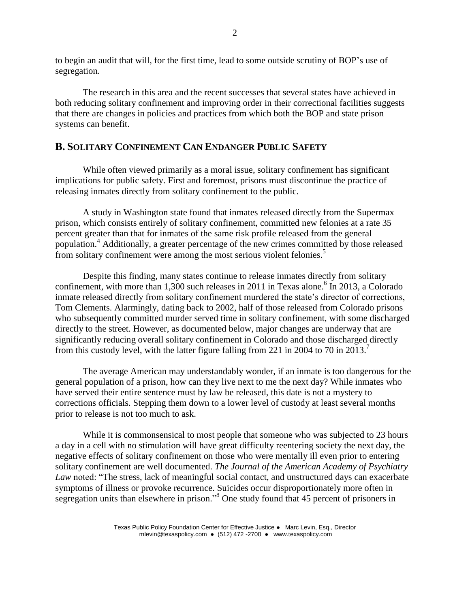to begin an audit that will, for the first time, lead to some outside scrutiny of BOP's use of segregation.

The research in this area and the recent successes that several states have achieved in both reducing solitary confinement and improving order in their correctional facilities suggests that there are changes in policies and practices from which both the BOP and state prison systems can benefit.

### **B. SOLITARY CONFINEMENT CAN ENDANGER PUBLIC SAFETY**

While often viewed primarily as a moral issue, solitary confinement has significant implications for public safety. First and foremost, prisons must discontinue the practice of releasing inmates directly from solitary confinement to the public.

A study in Washington state found that inmates released directly from the Supermax prison, which consists entirely of solitary confinement, committed new felonies at a rate 35 percent greater than that for inmates of the same risk profile released from the general population.<sup>4</sup> Additionally, a greater percentage of the new crimes committed by those released from solitary confinement were among the most serious violent felonies.<sup>5</sup>

Despite this finding, many states continue to release inmates directly from solitary confinement, with more than 1,300 such releases in 2011 in Texas alone.<sup>6</sup> In 2013, a Colorado inmate released directly from solitary confinement murdered the state's director of corrections, Tom Clements. Alarmingly, dating back to 2002, half of those released from Colorado prisons who subsequently committed murder served time in solitary confinement, with some discharged directly to the street. However, as documented below, major changes are underway that are significantly reducing overall solitary confinement in Colorado and those discharged directly from this custody level, with the latter figure falling from 221 in 2004 to 70 in 2013.<sup>7</sup>

The average American may understandably wonder, if an inmate is too dangerous for the general population of a prison, how can they live next to me the next day? While inmates who have served their entire sentence must by law be released, this date is not a mystery to corrections officials. Stepping them down to a lower level of custody at least several months prior to release is not too much to ask.

While it is commonsensical to most people that someone who was subjected to 23 hours a day in a cell with no stimulation will have great difficulty reentering society the next day, the negative effects of solitary confinement on those who were mentally ill even prior to entering solitary confinement are well documented. *The Journal of the American Academy of Psychiatry Law* noted: "The stress, lack of meaningful social contact, and unstructured days can exacerbate symptoms of illness or provoke recurrence. Suicides occur disproportionately more often in segregation units than elsewhere in prison."<sup>8</sup> One study found that 45 percent of prisoners in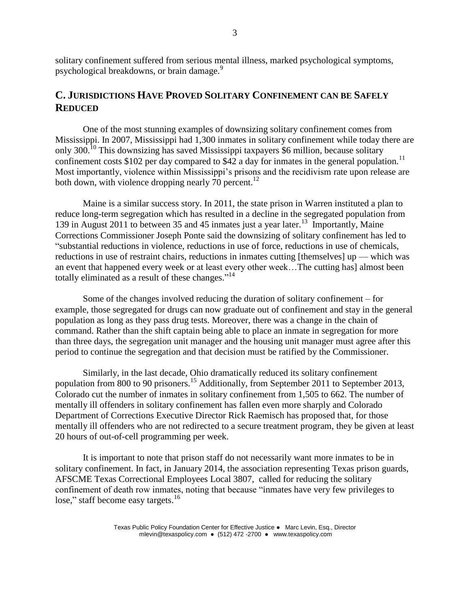solitary confinement suffered from serious mental illness, marked psychological symptoms, psychological breakdowns, or brain damage.<sup>9</sup>

## **C. JURISDICTIONS HAVE PROVED SOLITARY CONFINEMENT CAN BE SAFELY REDUCED**

One of the most stunning examples of downsizing solitary confinement comes from Mississippi. In 2007, Mississippi had 1,300 inmates in solitary confinement while today there are only 300.<sup>10</sup> This downsizing has saved Mississippi taxpayers \$6 million, because solitary confinement costs \$102 per day compared to \$42 a day for inmates in the general population.<sup>11</sup> Most importantly, violence within Mississippi's prisons and the recidivism rate upon release are both down, with violence dropping nearly 70 percent.<sup>12</sup>

Maine is a similar success story. In 2011, the state prison in Warren instituted a plan to reduce long-term segregation which has resulted in a decline in the segregated population from 139 in August 2011 to between 35 and 45 inmates just a year later.<sup>13</sup> Importantly, Maine Corrections Commissioner Joseph Ponte said the downsizing of solitary confinement has led to "substantial reductions in violence, reductions in use of force, reductions in use of chemicals, reductions in use of restraint chairs, reductions in inmates cutting [themselves] up — which was an event that happened every week or at least every other week…The cutting has] almost been totally eliminated as a result of these changes." 14

Some of the changes involved reducing the duration of solitary confinement – for example, those segregated for drugs can now graduate out of confinement and stay in the general population as long as they pass drug tests. Moreover, there was a change in the chain of command. Rather than the shift captain being able to place an inmate in segregation for more than three days, the segregation unit manager and the housing unit manager must agree after this period to continue the segregation and that decision must be ratified by the Commissioner.

Similarly, in the last decade, Ohio dramatically reduced its solitary confinement population from 800 to 90 prisoners.<sup>15</sup> Additionally, from September 2011 to September 2013, Colorado cut the number of inmates in solitary confinement from 1,505 to 662. The number of mentally ill offenders in solitary confinement has fallen even more sharply and Colorado Department of Corrections Executive Director Rick Raemisch has proposed that, for those mentally ill offenders who are not redirected to a secure treatment program, they be given at least 20 hours of out-of-cell programming per week.

It is important to note that prison staff do not necessarily want more inmates to be in solitary confinement. In fact, in January 2014, the association representing Texas prison guards, AFSCME Texas Correctional Employees Local 3807, called for reducing the solitary confinement of death row inmates, noting that because "inmates have very few privileges to lose," staff become easy targets.<sup>16</sup>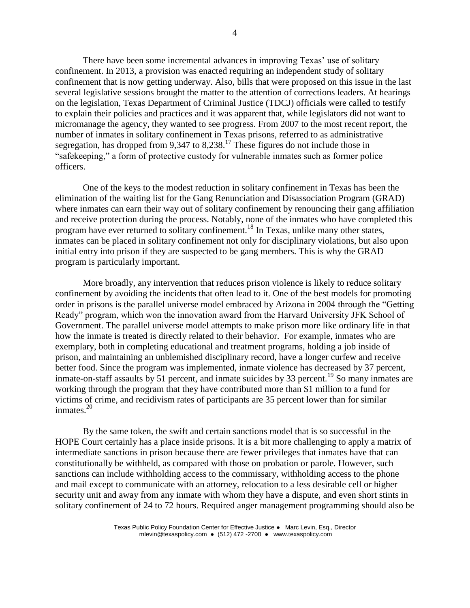There have been some incremental advances in improving Texas' use of solitary confinement. In 2013, a provision was enacted requiring an independent study of solitary confinement that is now getting underway. Also, bills that were proposed on this issue in the last several legislative sessions brought the matter to the attention of corrections leaders. At hearings on the legislation, Texas Department of Criminal Justice (TDCJ) officials were called to testify to explain their policies and practices and it was apparent that, while legislators did not want to micromanage the agency, they wanted to see progress. From 2007 to the most recent report, the number of inmates in solitary confinement in Texas prisons, referred to as administrative segregation, has dropped from 9,347 to 8,238.<sup>17</sup> These figures do not include those in "safekeeping," a form of protective custody for vulnerable inmates such as former police officers.

One of the keys to the modest reduction in solitary confinement in Texas has been the elimination of the waiting list for the Gang Renunciation and Disassociation Program (GRAD) where inmates can earn their way out of solitary confinement by renouncing their gang affiliation and receive protection during the process. Notably, none of the inmates who have completed this program have ever returned to solitary confinement.<sup>18</sup> In Texas, unlike many other states, inmates can be placed in solitary confinement not only for disciplinary violations, but also upon initial entry into prison if they are suspected to be gang members. This is why the GRAD program is particularly important.

More broadly, any intervention that reduces prison violence is likely to reduce solitary confinement by avoiding the incidents that often lead to it. One of the best models for promoting order in prisons is the parallel universe model embraced by Arizona in 2004 through the "Getting Ready" program, which won the innovation award from the Harvard University JFK School of Government. The parallel universe model attempts to make prison more like ordinary life in that how the inmate is treated is directly related to their behavior. For example, inmates who are exemplary, both in completing educational and treatment programs, holding a job inside of prison, and maintaining an unblemished disciplinary record, have a longer curfew and receive better food. Since the program was implemented, inmate violence has decreased by 37 percent, inmate-on-staff assaults by 51 percent, and inmate suicides by 33 percent.<sup>19</sup> So many inmates are working through the program that they have contributed more than \$1 million to a fund for victims of crime, and recidivism rates of participants are 35 percent lower than for similar inmates.<sup>20</sup>

By the same token, the swift and certain sanctions model that is so successful in the HOPE Court certainly has a place inside prisons. It is a bit more challenging to apply a matrix of intermediate sanctions in prison because there are fewer privileges that inmates have that can constitutionally be withheld, as compared with those on probation or parole. However, such sanctions can include withholding access to the commissary, withholding access to the phone and mail except to communicate with an attorney, relocation to a less desirable cell or higher security unit and away from any inmate with whom they have a dispute, and even short stints in solitary confinement of 24 to 72 hours. Required anger management programming should also be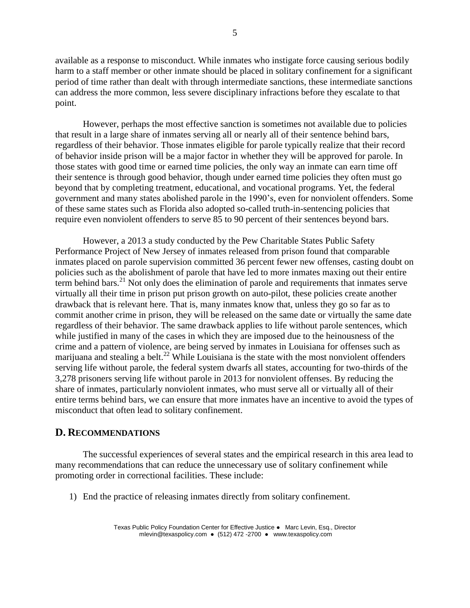available as a response to misconduct. While inmates who instigate force causing serious bodily harm to a staff member or other inmate should be placed in solitary confinement for a significant period of time rather than dealt with through intermediate sanctions, these intermediate sanctions can address the more common, less severe disciplinary infractions before they escalate to that point.

However, perhaps the most effective sanction is sometimes not available due to policies that result in a large share of inmates serving all or nearly all of their sentence behind bars, regardless of their behavior. Those inmates eligible for parole typically realize that their record of behavior inside prison will be a major factor in whether they will be approved for parole. In those states with good time or earned time policies, the only way an inmate can earn time off their sentence is through good behavior, though under earned time policies they often must go beyond that by completing treatment, educational, and vocational programs. Yet, the federal government and many states abolished parole in the 1990's, even for nonviolent offenders. Some of these same states such as Florida also adopted so-called truth-in-sentencing policies that require even nonviolent offenders to serve 85 to 90 percent of their sentences beyond bars.

However, a 2013 a study conducted by the Pew Charitable States Public Safety Performance Project of New Jersey of inmates released from prison found that comparable inmates placed on parole supervision committed 36 percent fewer new offenses, casting doubt on policies such as the abolishment of parole that have led to more inmates maxing out their entire term behind bars.<sup>21</sup> Not only does the elimination of parole and requirements that inmates serve virtually all their time in prison put prison growth on auto-pilot, these policies create another drawback that is relevant here. That is, many inmates know that, unless they go so far as to commit another crime in prison, they will be released on the same date or virtually the same date regardless of their behavior. The same drawback applies to life without parole sentences, which while justified in many of the cases in which they are imposed due to the heinousness of the crime and a pattern of violence, are being served by inmates in Louisiana for offenses such as marijuana and stealing a belt.<sup>22</sup> While Louisiana is the state with the most nonviolent offenders serving life without parole, the federal system dwarfs all states, accounting for two-thirds of the 3,278 prisoners serving life without parole in 2013 for nonviolent offenses. By reducing the share of inmates, particularly nonviolent inmates, who must serve all or virtually all of their entire terms behind bars, we can ensure that more inmates have an incentive to avoid the types of misconduct that often lead to solitary confinement.

#### **D. RECOMMENDATIONS**

The successful experiences of several states and the empirical research in this area lead to many recommendations that can reduce the unnecessary use of solitary confinement while promoting order in correctional facilities. These include:

1) End the practice of releasing inmates directly from solitary confinement.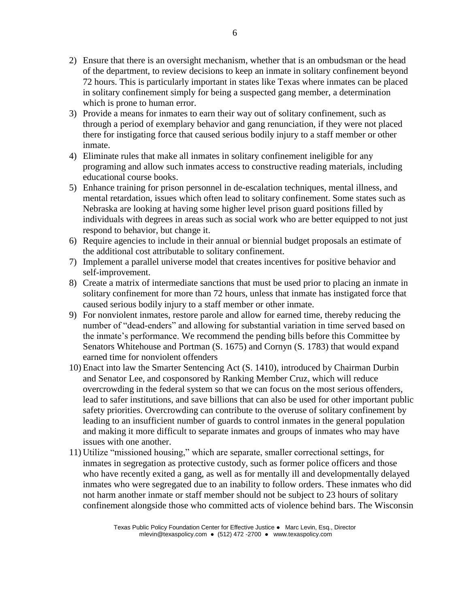- 2) Ensure that there is an oversight mechanism, whether that is an ombudsman or the head of the department, to review decisions to keep an inmate in solitary confinement beyond 72 hours. This is particularly important in states like Texas where inmates can be placed in solitary confinement simply for being a suspected gang member, a determination which is prone to human error.
- 3) Provide a means for inmates to earn their way out of solitary confinement, such as through a period of exemplary behavior and gang renunciation, if they were not placed there for instigating force that caused serious bodily injury to a staff member or other inmate.
- 4) Eliminate rules that make all inmates in solitary confinement ineligible for any programing and allow such inmates access to constructive reading materials, including educational course books.
- 5) Enhance training for prison personnel in de-escalation techniques, mental illness, and mental retardation, issues which often lead to solitary confinement. Some states such as Nebraska are looking at having some higher level prison guard positions filled by individuals with degrees in areas such as social work who are better equipped to not just respond to behavior, but change it.
- 6) Require agencies to include in their annual or biennial budget proposals an estimate of the additional cost attributable to solitary confinement.
- 7) Implement a parallel universe model that creates incentives for positive behavior and self-improvement.
- 8) Create a matrix of intermediate sanctions that must be used prior to placing an inmate in solitary confinement for more than 72 hours, unless that inmate has instigated force that caused serious bodily injury to a staff member or other inmate.
- 9) For nonviolent inmates, restore parole and allow for earned time, thereby reducing the number of "dead-enders" and allowing for substantial variation in time served based on the inmate's performance. We recommend the pending bills before this Committee by Senators Whitehouse and Portman (S. 1675) and Cornyn (S. 1783) that would expand earned time for nonviolent offenders
- 10) Enact into law the Smarter Sentencing Act (S. 1410), introduced by Chairman Durbin and Senator Lee, and cosponsored by Ranking Member Cruz, which will reduce overcrowding in the federal system so that we can focus on the most serious offenders, lead to safer institutions, and save billions that can also be used for other important public safety priorities. Overcrowding can contribute to the overuse of solitary confinement by leading to an insufficient number of guards to control inmates in the general population and making it more difficult to separate inmates and groups of inmates who may have issues with one another.
- 11) Utilize "missioned housing," which are separate, smaller correctional settings, for inmates in segregation as protective custody, such as former police officers and those who have recently exited a gang, as well as for mentally ill and developmentally delayed inmates who were segregated due to an inability to follow orders. These inmates who did not harm another inmate or staff member should not be subject to 23 hours of solitary confinement alongside those who committed acts of violence behind bars. The Wisconsin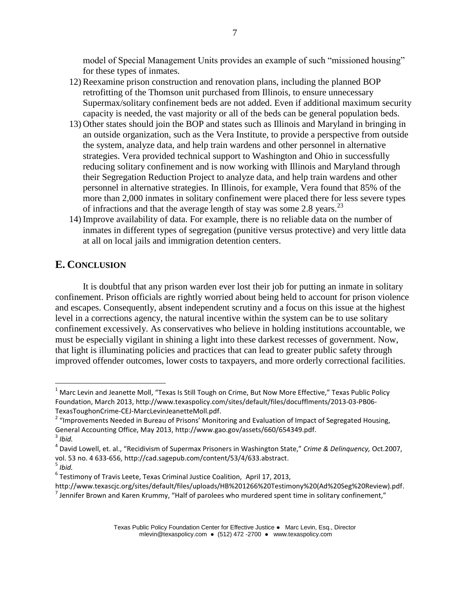model of Special Management Units provides an example of such "missioned housing" for these types of inmates.

- 12)Reexamine prison construction and renovation plans, including the planned BOP retrofitting of the Thomson unit purchased from Illinois, to ensure unnecessary Supermax/solitary confinement beds are not added. Even if additional maximum security capacity is needed, the vast majority or all of the beds can be general population beds.
- 13) Other states should join the BOP and states such as Illinois and Maryland in bringing in an outside organization, such as the Vera Institute, to provide a perspective from outside the system, analyze data, and help train wardens and other personnel in alternative strategies. Vera provided technical support to Washington and Ohio in successfully reducing solitary confinement and is now working with Illinois and Maryland through their Segregation Reduction Project to analyze data, and help train wardens and other personnel in alternative strategies. In Illinois, for example, Vera found that 85% of the more than 2,000 inmates in solitary confinement were placed there for less severe types of infractions and that the average length of stay was some 2.8 years.<sup>23</sup>
- 14) Improve availability of data. For example, there is no reliable data on the number of inmates in different types of segregation (punitive versus protective) and very little data at all on local jails and immigration detention centers.

### **E. CONCLUSION**

It is doubtful that any prison warden ever lost their job for putting an inmate in solitary confinement. Prison officials are rightly worried about being held to account for prison violence and escapes. Consequently, absent independent scrutiny and a focus on this issue at the highest level in a corrections agency, the natural incentive within the system can be to use solitary confinement excessively. As conservatives who believe in holding institutions accountable, we must be especially vigilant in shining a light into these darkest recesses of government. Now, that light is illuminating policies and practices that can lead to greater public safety through improved offender outcomes, lower costs to taxpayers, and more orderly correctional facilities.

 $\overline{a}$ 

5 *Ibid.*

 $1$  Marc Levin and Jeanette Moll, "Texas Is Still Tough on Crime, But Now More Effective," Texas Public Policy Foundation, March 2013, http://www.texaspolicy.com/sites/default/files/docufflments/2013-03-PB06- TexasToughonCrime-CEJ-MarcLevinJeanetteMoll.pdf.

<sup>&</sup>lt;sup>2</sup> "Improvements Needed in Bureau of Prisons' Monitoring and Evaluation of Impact of Segregated Housing, General Accounting Office, May 2013, http://www.gao.gov/assets/660/654349.pdf.

<sup>3</sup> *Ibid.*

<sup>4</sup> David Lowell, et. al., "Recidivism of Supermax Prisoners in Washington State," *Crime & Delinquency,* Oct.2007, vol. 53 no. 4 633-656, http://cad.sagepub.com/content/53/4/633.abstract.

<sup>&</sup>lt;sup>6</sup> Testimony of Travis Leete, Texas Criminal Justice Coalition, April 17, 2013,

http://www.texascjc.org/sites/default/files/uploads/HB%201266%20Testimony%20(Ad%20Seg%20Review).pdf.  $^7$  Jennifer Brown and Karen Krummy, "Half of parolees who murdered spent time in solitary confinement,"